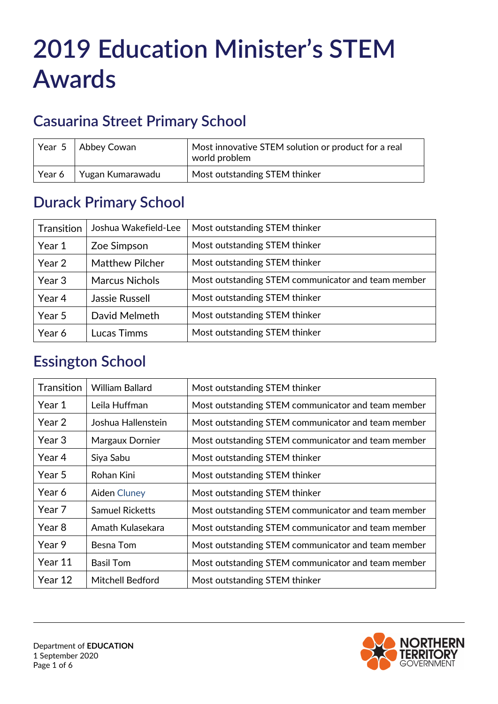# **2019 Education Minister's STEM Awards**

# **Casuarina Street Primary School**

| Year 5 | Abbey Cowan      | Most innovative STEM solution or product for a real<br>world problem |
|--------|------------------|----------------------------------------------------------------------|
| Year 6 | Yugan Kumarawadu | Most outstanding STEM thinker                                        |

#### **Durack Primary School**

| Transition | Joshua Wakefield-Lee   | Most outstanding STEM thinker                      |
|------------|------------------------|----------------------------------------------------|
| Year 1     | Zoe Simpson            | Most outstanding STEM thinker                      |
| Year 2     | <b>Matthew Pilcher</b> | Most outstanding STEM thinker                      |
| Year 3     | <b>Marcus Nichols</b>  | Most outstanding STEM communicator and team member |
| Year 4     | Jassie Russell         | Most outstanding STEM thinker                      |
| Year 5     | David Melmeth          | Most outstanding STEM thinker                      |
| Year 6     | Lucas Timms            | Most outstanding STEM thinker                      |

#### **Essington School**

| Transition | <b>William Ballard</b>  | Most outstanding STEM thinker                      |
|------------|-------------------------|----------------------------------------------------|
| Year 1     | Leila Huffman           | Most outstanding STEM communicator and team member |
| Year 2     | Joshua Hallenstein      | Most outstanding STEM communicator and team member |
| Year 3     | Margaux Dornier         | Most outstanding STEM communicator and team member |
| Year 4     | Siya Sabu               | Most outstanding STEM thinker                      |
| Year 5     | Rohan Kini              | Most outstanding STEM thinker                      |
| Year 6     | <b>Aiden Cluney</b>     | Most outstanding STEM thinker                      |
| Year 7     | <b>Samuel Ricketts</b>  | Most outstanding STEM communicator and team member |
| Year 8     | Amath Kulasekara        | Most outstanding STEM communicator and team member |
| Year 9     | Besna Tom               | Most outstanding STEM communicator and team member |
| Year 11    | <b>Basil Tom</b>        | Most outstanding STEM communicator and team member |
| Year 12    | <b>Mitchell Bedford</b> | Most outstanding STEM thinker                      |

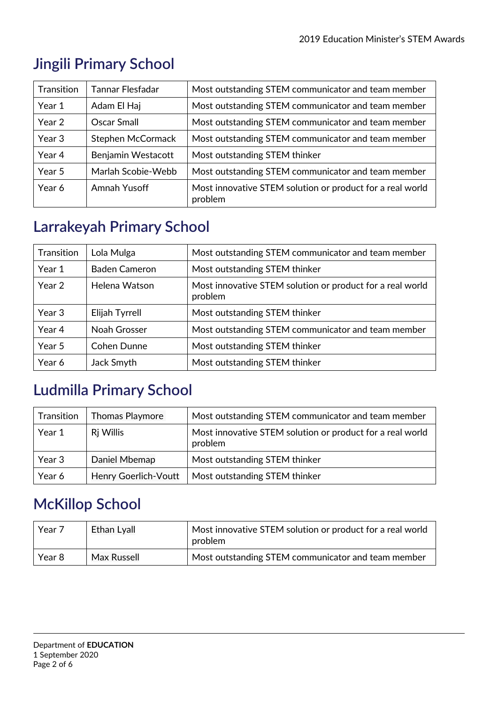| Transition | Tannar Flesfadar   | Most outstanding STEM communicator and team member                   |
|------------|--------------------|----------------------------------------------------------------------|
| Year 1     | Adam El Haj        | Most outstanding STEM communicator and team member                   |
| Year 2     | <b>Oscar Small</b> | Most outstanding STEM communicator and team member                   |
| Year 3     | Stephen McCormack  | Most outstanding STEM communicator and team member                   |
| Year 4     | Benjamin Westacott | Most outstanding STEM thinker                                        |
| Year 5     | Marlah Scobie-Webb | Most outstanding STEM communicator and team member                   |
| Year 6     | Amnah Yusoff       | Most innovative STEM solution or product for a real world<br>problem |

# **Jingili Primary School**

## **Larrakeyah Primary School**

| Transition | Lola Mulga           | Most outstanding STEM communicator and team member                   |
|------------|----------------------|----------------------------------------------------------------------|
| Year 1     | <b>Baden Cameron</b> | Most outstanding STEM thinker                                        |
| Year 2     | Helena Watson        | Most innovative STEM solution or product for a real world<br>problem |
| Year 3     | Elijah Tyrrell       | Most outstanding STEM thinker                                        |
| Year 4     | Noah Grosser         | Most outstanding STEM communicator and team member                   |
| Year 5     | <b>Cohen Dunne</b>   | Most outstanding STEM thinker                                        |
| Year 6     | Jack Smyth           | Most outstanding STEM thinker                                        |

## **Ludmilla Primary School**

| Transition | <b>Thomas Playmore</b>      | Most outstanding STEM communicator and team member                   |
|------------|-----------------------------|----------------------------------------------------------------------|
| Year 1     | Ri Willis                   | Most innovative STEM solution or product for a real world<br>problem |
| Year 3     | Daniel Mbemap               | Most outstanding STEM thinker                                        |
| Year 6     | <b>Henry Goerlich-Voutt</b> | Most outstanding STEM thinker                                        |

## **McKillop School**

| Year 7 | Ethan Lyall | Most innovative STEM solution or product for a real world<br>problem |
|--------|-------------|----------------------------------------------------------------------|
| Year 8 | Max Russell | Most outstanding STEM communicator and team member                   |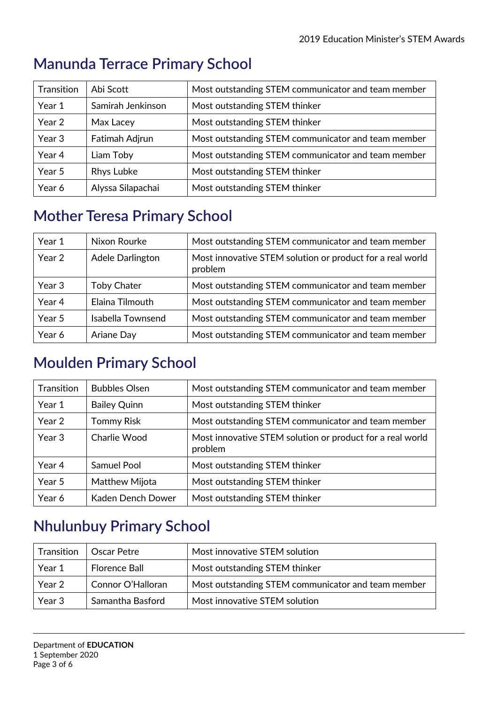| Transition | Abi Scott         | Most outstanding STEM communicator and team member |
|------------|-------------------|----------------------------------------------------|
| Year 1     | Samirah Jenkinson | Most outstanding STEM thinker                      |
| Year 2     | Max Lacey         | Most outstanding STEM thinker                      |
| Year 3     | Fatimah Adjrun    | Most outstanding STEM communicator and team member |
| Year 4     | Liam Toby         | Most outstanding STEM communicator and team member |
| Year 5     | Rhys Lubke        | Most outstanding STEM thinker                      |
| Year 6     | Alyssa Silapachai | Most outstanding STEM thinker                      |

#### **Manunda Terrace Primary School**

### **Mother Teresa Primary School**

| Year 1 | Nixon Rourke       | Most outstanding STEM communicator and team member                   |
|--------|--------------------|----------------------------------------------------------------------|
| Year 2 | Adele Darlington   | Most innovative STEM solution or product for a real world<br>problem |
| Year 3 | <b>Toby Chater</b> | Most outstanding STEM communicator and team member                   |
| Year 4 | Elaina Tilmouth    | Most outstanding STEM communicator and team member                   |
| Year 5 | Isabella Townsend  | Most outstanding STEM communicator and team member                   |
| Year 6 | Ariane Day         | Most outstanding STEM communicator and team member                   |

## **Moulden Primary School**

| Transition | <b>Bubbles Olsen</b> | Most outstanding STEM communicator and team member                   |
|------------|----------------------|----------------------------------------------------------------------|
| Year 1     | <b>Bailey Quinn</b>  | Most outstanding STEM thinker                                        |
| Year 2     | <b>Tommy Risk</b>    | Most outstanding STEM communicator and team member                   |
| Year 3     | Charlie Wood         | Most innovative STEM solution or product for a real world<br>problem |
| Year 4     | <b>Samuel Pool</b>   | Most outstanding STEM thinker                                        |
| Year 5     | Matthew Mijota       | Most outstanding STEM thinker                                        |
| Year 6     | Kaden Dench Dower    | Most outstanding STEM thinker                                        |

# **Nhulunbuy Primary School**

| Transition | Oscar Petre          | Most innovative STEM solution                      |
|------------|----------------------|----------------------------------------------------|
| Year 1     | <b>Florence Ball</b> | Most outstanding STEM thinker                      |
| Year 2     | Connor O'Halloran    | Most outstanding STEM communicator and team member |
| Year 3     | Samantha Basford     | Most innovative STEM solution                      |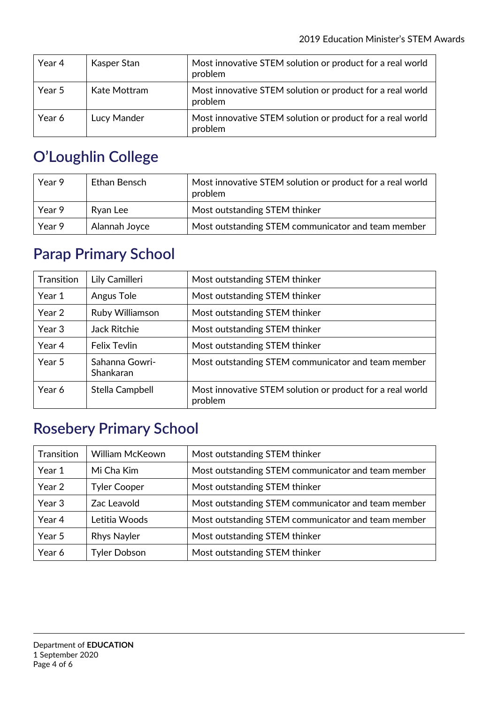| Year 4 | Kasper Stan  | Most innovative STEM solution or product for a real world<br>problem |
|--------|--------------|----------------------------------------------------------------------|
| Year 5 | Kate Mottram | Most innovative STEM solution or product for a real world<br>problem |
| Year 6 | Lucy Mander  | Most innovative STEM solution or product for a real world<br>problem |

## **O'Loughlin College**

| Year 9 | Ethan Bensch  | Most innovative STEM solution or product for a real world<br>problem |
|--------|---------------|----------------------------------------------------------------------|
| Year 9 | Ryan Lee      | Most outstanding STEM thinker                                        |
| Year 9 | Alannah Joyce | Most outstanding STEM communicator and team member                   |

### **Parap Primary School**

| Transition | Lily Camilleri              | Most outstanding STEM thinker                                        |
|------------|-----------------------------|----------------------------------------------------------------------|
| Year 1     | Angus Tole                  | Most outstanding STEM thinker                                        |
| Year 2     | Ruby Williamson             | Most outstanding STEM thinker                                        |
| Year 3     | <b>Jack Ritchie</b>         | Most outstanding STEM thinker                                        |
| Year 4     | <b>Felix Tevlin</b>         | Most outstanding STEM thinker                                        |
| Year 5     | Sahanna Gowri-<br>Shankaran | Most outstanding STEM communicator and team member                   |
| Year 6     | Stella Campbell             | Most innovative STEM solution or product for a real world<br>problem |

# **Rosebery Primary School**

| Transition | <b>William McKeown</b> | Most outstanding STEM thinker                      |
|------------|------------------------|----------------------------------------------------|
| Year 1     | Mi Cha Kim             | Most outstanding STEM communicator and team member |
| Year 2     | <b>Tyler Cooper</b>    | Most outstanding STEM thinker                      |
| Year 3     | Zac Leavold            | Most outstanding STEM communicator and team member |
| Year 4     | Letitia Woods          | Most outstanding STEM communicator and team member |
| Year 5     | <b>Rhys Nayler</b>     | Most outstanding STEM thinker                      |
| Year 6     | <b>Tyler Dobson</b>    | Most outstanding STEM thinker                      |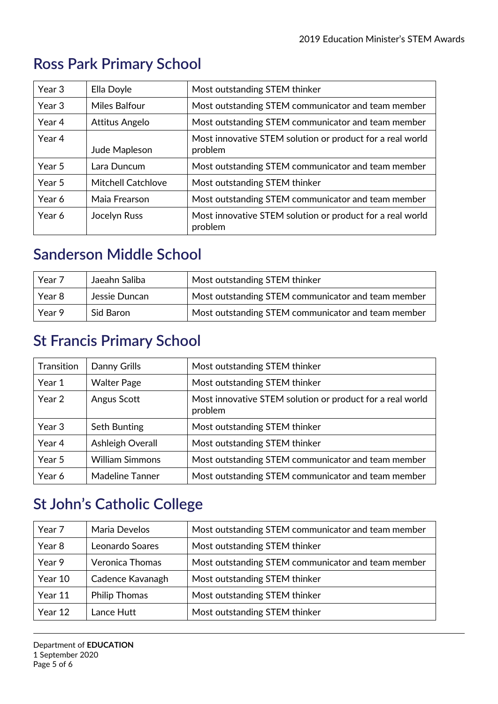| Year 3 | Ella Doyle                | Most outstanding STEM thinker                                        |
|--------|---------------------------|----------------------------------------------------------------------|
| Year 3 | <b>Miles Balfour</b>      | Most outstanding STEM communicator and team member                   |
| Year 4 | Attitus Angelo            | Most outstanding STEM communicator and team member                   |
| Year 4 | Jude Mapleson             | Most innovative STEM solution or product for a real world<br>problem |
| Year 5 | Lara Duncum               | Most outstanding STEM communicator and team member                   |
| Year 5 | <b>Mitchell Catchlove</b> | Most outstanding STEM thinker                                        |
| Year 6 | Maia Frearson             | Most outstanding STEM communicator and team member                   |
| Year 6 | Jocelyn Russ              | Most innovative STEM solution or product for a real world<br>problem |

## **Ross Park Primary School**

### **Sanderson Middle School**

| Year 7 | Jaeahn Saliba | Most outstanding STEM thinker                      |
|--------|---------------|----------------------------------------------------|
| Year 8 | Jessie Duncan | Most outstanding STEM communicator and team member |
| Year 9 | Sid Baron     | Most outstanding STEM communicator and team member |

### **St Francis Primary School**

| Transition | Danny Grills           | Most outstanding STEM thinker                                        |
|------------|------------------------|----------------------------------------------------------------------|
| Year 1     | <b>Walter Page</b>     | Most outstanding STEM thinker                                        |
| Year 2     | Angus Scott            | Most innovative STEM solution or product for a real world<br>problem |
| Year 3     | Seth Bunting           | Most outstanding STEM thinker                                        |
| Year 4     | Ashleigh Overall       | Most outstanding STEM thinker                                        |
| Year 5     | <b>William Simmons</b> | Most outstanding STEM communicator and team member                   |
| Year 6     | <b>Madeline Tanner</b> | Most outstanding STEM communicator and team member                   |

## **St John's Catholic College**

| Year 7  | Maria Develos          | Most outstanding STEM communicator and team member |
|---------|------------------------|----------------------------------------------------|
| Year 8  | Leonardo Soares        | Most outstanding STEM thinker                      |
| Year 9  | <b>Veronica Thomas</b> | Most outstanding STEM communicator and team member |
| Year 10 | Cadence Kavanagh       | Most outstanding STEM thinker                      |
| Year 11 | <b>Philip Thomas</b>   | Most outstanding STEM thinker                      |
| Year 12 | Lance Hutt             | Most outstanding STEM thinker                      |